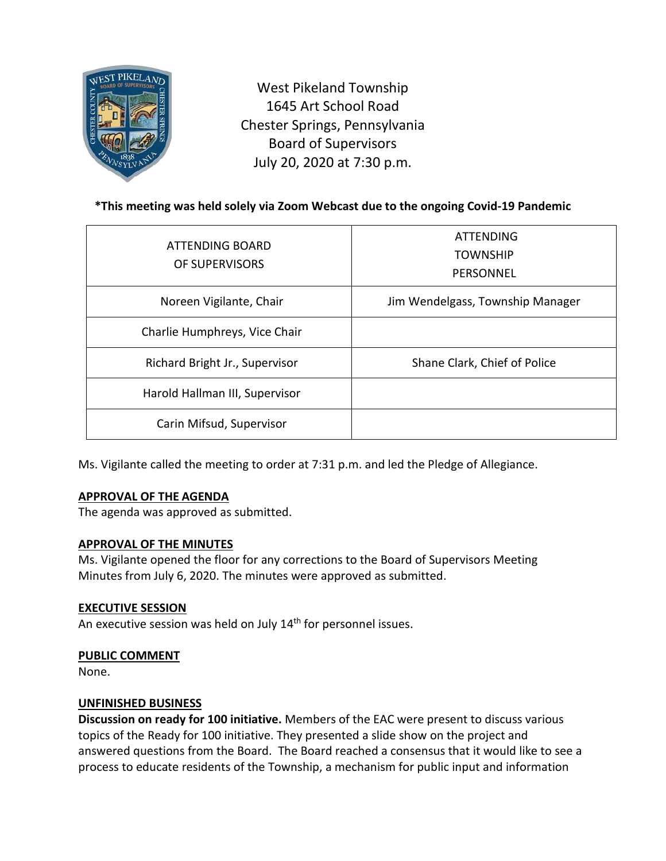

West Pikeland Township 1645 Art School Road Chester Springs, Pennsylvania Board of Supervisors July 20, 2020 at 7:30 p.m.

# **\*This meeting was held solely via Zoom Webcast due to the ongoing Covid-19 Pandemic**

| ATTENDING BOARD<br>OF SUPERVISORS | <b>ATTENDING</b><br><b>TOWNSHIP</b><br>PERSONNEL |
|-----------------------------------|--------------------------------------------------|
| Noreen Vigilante, Chair           | Jim Wendelgass, Township Manager                 |
| Charlie Humphreys, Vice Chair     |                                                  |
| Richard Bright Jr., Supervisor    | Shane Clark, Chief of Police                     |
| Harold Hallman III, Supervisor    |                                                  |
| Carin Mifsud, Supervisor          |                                                  |

Ms. Vigilante called the meeting to order at 7:31 p.m. and led the Pledge of Allegiance.

### **APPROVAL OF THE AGENDA**

The agenda was approved as submitted.

### **APPROVAL OF THE MINUTES**

Ms. Vigilante opened the floor for any corrections to the Board of Supervisors Meeting Minutes from July 6, 2020. The minutes were approved as submitted.

#### **EXECUTIVE SESSION**

An executive session was held on July 14<sup>th</sup> for personnel issues.

#### **PUBLIC COMMENT**

None.

#### **UNFINISHED BUSINESS**

**Discussion on ready for 100 initiative.** Members of the EAC were present to discuss various topics of the Ready for 100 initiative. They presented a slide show on the project and answered questions from the Board. The Board reached a consensus that it would like to see a process to educate residents of the Township, a mechanism for public input and information